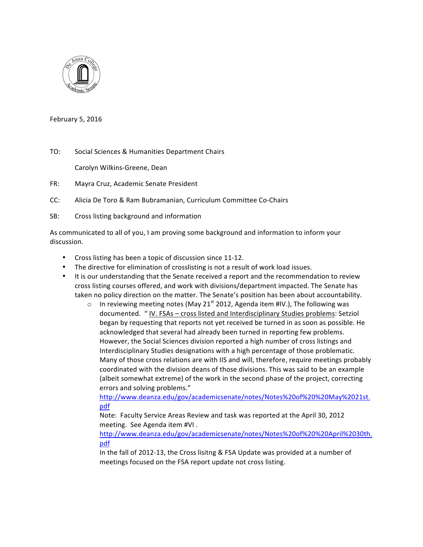

February 5, 2016

TO: Social Sciences & Humanities Department Chairs

Carolyn Wilkins-Greene, Dean

- FR: Mayra Cruz, Academic Senate President
- CC: Alicia De Toro & Ram Bubramanian, Curriculum Committee Co-Chairs
- SB: Cross listing background and information

As communicated to all of you, I am proving some background and information to inform your discussion.

- Cross listing has been a topic of discussion since 11-12.
- The directive for elimination of crosslisting is not a result of work load issues.
- It is our understanding that the Senate received a report and the recommendation to review cross listing courses offered, and work with divisions/department impacted. The Senate has taken no policy direction on the matter. The Senate's position has been about accountability.
	- o In reviewing meeting notes (May 21<sup>st</sup> 2012, Agenda item #IV.), The following was documented. " IV. FSAs – cross listed and Interdisciplinary Studies problems: Setziol began by requesting that reports not yet received be turned in as soon as possible. He acknowledged that several had already been turned in reporting few problems. However, the Social Sciences division reported a high number of cross listings and Interdisciplinary Studies designations with a high percentage of those problematic. Many of those cross relations are with IIS and will, therefore, require meetings probably coordinated with the division deans of those divisions. This was said to be an example (albeit somewhat extreme) of the work in the second phase of the project, correcting errors and solving problems."

http://www.deanza.edu/gov/academicsenate/notes/Notes%20of%20%20May%2021st. pdf

Note: Faculty Service Areas Review and task was reported at the April 30, 2012 meeting. See Agenda item #VI.

http://www.deanza.edu/gov/academicsenate/notes/Notes%20of%20%20April%2030th. pdf

In the fall of 2012-13, the Cross lisitng & FSA Update was provided at a number of meetings focused on the FSA report update not cross listing.